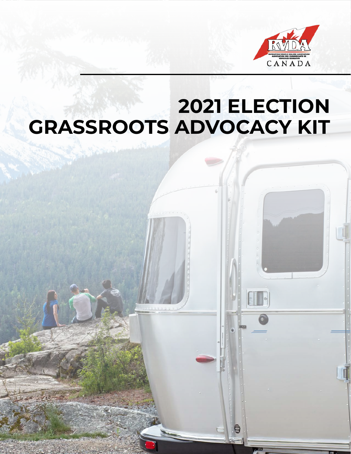

8

# **2021 ELECTION GRASSROOTS ADVOCACY KIT**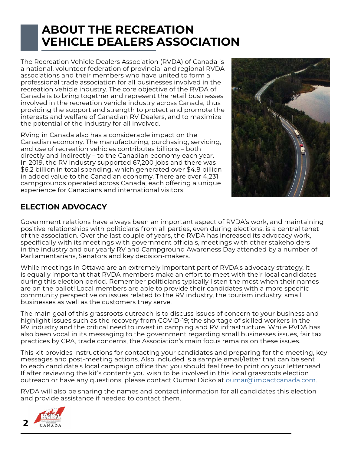### **ABOUT THE RECREATION VEHICLE DEALERS ASSOCIATION**

The Recreation Vehicle Dealers Association (RVDA) of Canada is a national, volunteer federation of provincial and regional RVDA associations and their members who have united to form a professional trade association for all businesses involved in the recreation vehicle industry. The core objective of the RVDA of Canada is to bring together and represent the retail businesses involved in the recreation vehicle industry across Canada, thus providing the support and strength to protect and promote the interests and welfare of Canadian RV Dealers, and to maximize the potential of the industry for all involved.

RVing in Canada also has a considerable impact on the Canadian economy. The manufacturing, purchasing, servicing, and use of recreation vehicles contributes billions – both directly and indirectly – to the Canadian economy each year. In 2019, the RV industry supported 67,200 jobs and there was \$6.2 billion in total spending, which generated over \$4.8 billion in added value to the Canadian economy. There are over 4,231 campgrounds operated across Canada, each offering a unique experience for Canadians and international visitors.



### **ELECTION ADVOCACY**

Government relations have always been an important aspect of RVDA's work, and maintaining positive relationships with politicians from all parties, even during elections, is a central tenet of the association. Over the last couple of years, the RVDA has increased its advocacy work, specifically with its meetings with government officials, meetings with other stakeholders in the industry and our yearly RV and Campground Awareness Day attended by a number of Parliamentarians, Senators and key decision-makers.

While meetings in Ottawa are an extremely important part of RVDA's advocacy strategy, it is equally important that RVDA members make an effort to meet with their local candidates during this election period. Remember politicians typically listen the most when their names are on the ballot! Local members are able to provide their candidates with a more specific community perspective on issues related to the RV industry, the tourism industry, small businesses as well as the customers they serve.

The main goal of this grassroots outreach is to discuss issues of concern to your business and highlight issues such as the recovery from COVID-19; the shortage of skilled workers in the RV industry and the critical need to invest in camping and RV infrastructure. While RVDA has also been vocal in its messaging to the government regarding small businesses issues, fair tax practices by CRA, trade concerns, the Association's main focus remains on these issues.

This kit provides instructions for contacting your candidates and preparing for the meeting, key messages and post-meeting actions. Also included is a sample email/letter that can be sent to each candidate's local campaign office that you should feel free to print on your letterhead. If after reviewing the kit's contents you wish to be involved in this local grassroots election outreach or have any questions, please contact Oumar Dicko at **oumar@impactcanada.com**.

RVDA will also be sharing the names and contact information for all candidates this election and provide assistance if needed to contact them.

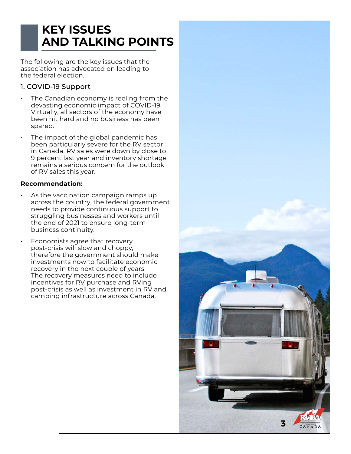## **KEY ISSUES AND TALKING POINTS**

The following are the key issues that the association has advocated on leading to the federal election.

#### 1. COVID-19 Support

- The Canadian economy is reeling from the devasting economic impact of COVID-19. Virtually, all sectors of the economy have been hit hard and no business has been spared.
- The impact of the global pandemic has been particularly severe for the RV sector in Canada. RV sales were down by close to 9 percent last year and inventory shortage remains a serious concern for the outlook of RV sales this year.

#### **Recommendation:**

- As the vaccination campaign ramps up across the country, the federal government needs to provide continuous support to struggling businesses and workers until the end of 2021 to ensure long-term business continuity.
	- Economists agree that recovery post-crisis will slow and choppy, therefore the government should make investments now to facilitate economic recovery in the next couple of years. The recovery measures need to include incentives for RV purchase and RVing post-crisis as well as investment in RV and camping infrastructure across Canada.

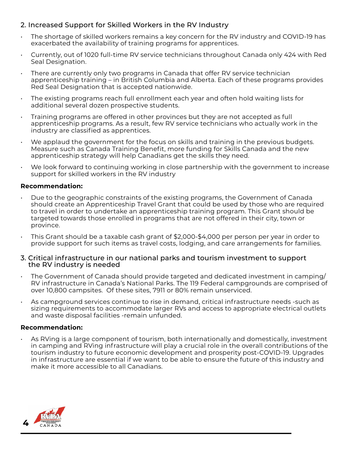#### 2. Increased Support for Skilled Workers in the RV Industry

- The shortage of skilled workers remains a key concern for the RV industry and COVID-19 has exacerbated the availability of training programs for apprentices.
- Currently, out of 1020 full-time RV service technicians throughout Canada only 424 with Red Seal Designation.
- There are currently only two programs in Canada that offer RV service technician apprenticeship training – in British Columbia and Alberta. Each of these programs provides Red Seal Designation that is accepted nationwide.
- The existing programs reach full enrollment each year and often hold waiting lists for additional several dozen prospective students.
- Training programs are offered in other provinces but they are not accepted as full apprenticeship programs. As a result, few RV service technicians who actually work in the industry are classified as apprentices.
- We applaud the government for the focus on skills and training in the previous budgets. Measure such as Canada Training Benefit, more funding for Skills Canada and the new apprenticeship strategy will help Canadians get the skills they need.
- We look forward to continuing working in close partnership with the government to increase support for skilled workers in the RV industry

#### **Recommendation:**

- Due to the geographic constraints of the existing programs, the Government of Canada should create an Apprenticeship Travel Grant that could be used by those who are required to travel in order to undertake an apprenticeship training program. This Grant should be targeted towards those enrolled in programs that are not offered in their city, town or province.
- This Grant should be a taxable cash grant of \$2,000-\$4,000 per person per year in order to provide support for such items as travel costs, lodging, and care arrangements for families.

#### 3. Critical infrastructure in our national parks and tourism investment to support the RV industry is needed

- The Government of Canada should provide targeted and dedicated investment in camping/ RV infrastructure in Canada's National Parks. The 119 Federal campgrounds are comprised of over 10,800 campsites. Of these sites, 7911 or 80% remain unserviced.
- As campground services continue to rise in demand, critical infrastructure needs -such as sizing requirements to accommodate larger RVs and access to appropriate electrical outlets and waste disposal facilities -remain unfunded.

#### **Recommendation:**

• As RVing is a large component of tourism, both internationally and domestically, investment in camping and RVing infrastructure will play a crucial role in the overall contributions of the tourism industry to future economic development and prosperity post-COVID-19. Upgrades in infrastructure are essential if we want to be able to ensure the future of this industry and make it more accessible to all Canadians.

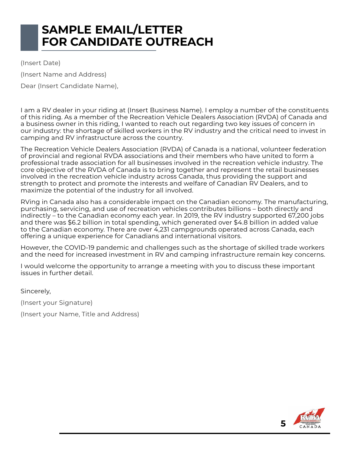### **SAMPLE EMAIL/LETTER FOR CANDIDATE OUTREACH**

(Insert Date) (Insert Name and Address) Dear (Insert Candidate Name),

I am a RV dealer in your riding at (Insert Business Name). I employ a number of the constituents of this riding. As a member of the Recreation Vehicle Dealers Association (RVDA) of Canada and a business owner in this riding, I wanted to reach out regarding two key issues of concern in our industry: the shortage of skilled workers in the RV industry and the critical need to invest in camping and RV infrastructure across the country.

The Recreation Vehicle Dealers Association (RVDA) of Canada is a national, volunteer federation of provincial and regional RVDA associations and their members who have united to form a professional trade association for all businesses involved in the recreation vehicle industry. The core objective of the RVDA of Canada is to bring together and represent the retail businesses involved in the recreation vehicle industry across Canada, thus providing the support and strength to protect and promote the interests and welfare of Canadian RV Dealers, and to maximize the potential of the industry for all involved.

RVing in Canada also has a considerable impact on the Canadian economy. The manufacturing, purchasing, servicing, and use of recreation vehicles contributes billions – both directly and indirectly – to the Canadian economy each year. In 2019, the RV industry supported 67,200 jobs and there was \$6.2 billion in total spending, which generated over \$4.8 billion in added value to the Canadian economy. There are over 4,231 campgrounds operated across Canada, each offering a unique experience for Canadians and international visitors.

However, the COVID-19 pandemic and challenges such as the shortage of skilled trade workers and the need for increased investment in RV and camping infrastructure remain key concerns.

I would welcome the opportunity to arrange a meeting with you to discuss these important issues in further detail.

Sincerely,

(Insert your Signature)

(Insert your Name, Title and Address)

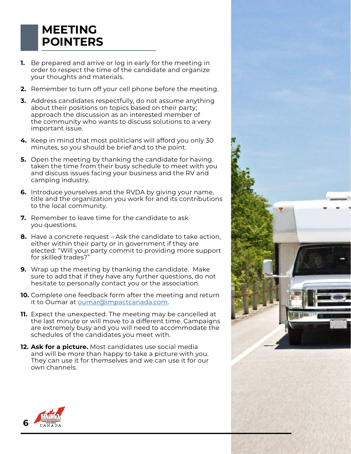### **MEETING POINTERS**

- **1.** Be prepared and arrive or log in early for the meeting in order to respect the time of the candidate and organize your thoughts and materials.
- **2.** Remember to turn off your cell phone before the meeting.
- **3.** Address candidates respectfully, do not assume anything about their positions on topics based on their party; approach the discussion as an interested member of the community who wants to discuss solutions to a very important issue.
- **4.** Keep in mind that most politicians will afford you only 30 minutes, so you should be brief and to the point.
- **5.** Open the meeting by thanking the candidate for having taken the time from their busy schedule to meet with you and discuss issues facing your business and the RV and camping industry.
- **6.** Introduce yourselves and the RVDA by giving your name, title and the organization you work for and its contributions to the local community.
- **7.** Remember to leave time for the candidate to ask you questions.
- **8.** Have a concrete request Ask the candidate to take action, either within their party or in government if they are elected: "Will your party commit to providing more support for skilled trades?"
- **9.** Wrap up the meeting by thanking the candidate. Make sure to add that if they have any further questions, do not hesitate to personally contact you or the association.
- **10.** Complete one feedback form after the meeting and return it to Oumar at [oumar@impactcanada.com.](mailto:oumar%40impactcanada.com?subject=)
- **11.** Expect the unexpected. The meeting may be cancelled at the last minute or will move to a different time. Campaigns are extremely busy and you will need to accommodate the schedules of the candidates you meet with.
- **12. Ask for a picture.** Most candidates use social media and will be more than happy to take a picture with you. They can use it for themselves and we can use it for our own channels.